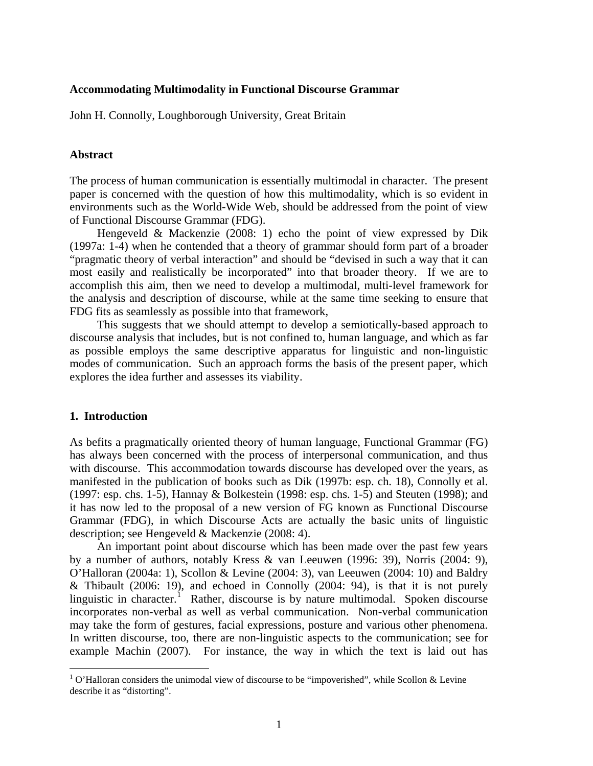## **Accommodating Multimodality in Functional Discourse Grammar**

John H. Connolly, Loughborough University, Great Britain

#### **Abstract**

The process of human communication is essentially multimodal in character. The present paper is concerned with the question of how this multimodality, which is so evident in environments such as the World-Wide Web, should be addressed from the point of view of Functional Discourse Grammar (FDG).

 Hengeveld & Mackenzie (2008: 1) echo the point of view expressed by Dik (1997a: 1-4) when he contended that a theory of grammar should form part of a broader "pragmatic theory of verbal interaction" and should be "devised in such a way that it can most easily and realistically be incorporated" into that broader theory. If we are to accomplish this aim, then we need to develop a multimodal, multi-level framework for the analysis and description of discourse, while at the same time seeking to ensure that FDG fits as seamlessly as possible into that framework,

 This suggests that we should attempt to develop a semiotically-based approach to discourse analysis that includes, but is not confined to, human language, and which as far as possible employs the same descriptive apparatus for linguistic and non-linguistic modes of communication. Such an approach forms the basis of the present paper, which explores the idea further and assesses its viability.

#### **1. Introduction**

 $\overline{a}$ 

As befits a pragmatically oriented theory of human language, Functional Grammar (FG) has always been concerned with the process of interpersonal communication, and thus with discourse. This accommodation towards discourse has developed over the years, as manifested in the publication of books such as Dik (1997b: esp. ch. 18), Connolly et al. (1997: esp. chs. 1-5), Hannay & Bolkestein (1998: esp. chs. 1-5) and Steuten (1998); and it has now led to the proposal of a new version of FG known as Functional Discourse Grammar (FDG), in which Discourse Acts are actually the basic units of linguistic description; see Hengeveld & Mackenzie (2008: 4).

 An important point about discourse which has been made over the past few years by a number of authors, notably Kress & van Leeuwen (1996: 39), Norris (2004: 9), O'Halloran (2004a: 1), Scollon & Levine (2004: 3), van Leeuwen (2004: 10) and Baldry & Thibault (2006: 19), and echoed in Connolly (2004: 94), is that it is not purely linguistic in character.<sup>[1](#page-0-0)</sup> Rather, discourse is by nature multimodal. Spoken discourse incorporates non-verbal as well as verbal communication. Non-verbal communication may take the form of gestures, facial expressions, posture and various other phenomena. In written discourse, too, there are non-linguistic aspects to the communication; see for example Machin (2007). For instance, the way in which the text is laid out has

<span id="page-0-0"></span><sup>&</sup>lt;sup>1</sup> O'Halloran considers the unimodal view of discourse to be "impoverished", while Scollon & Levine describe it as "distorting".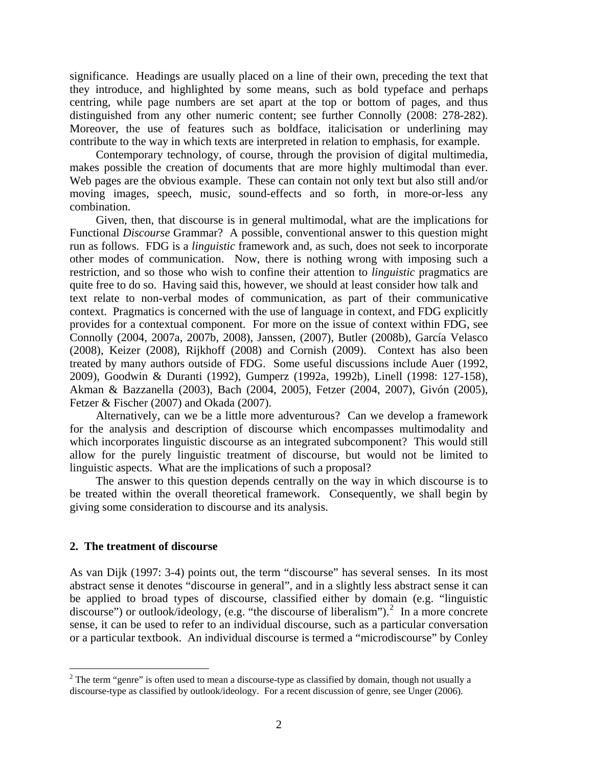significance. Headings are usually placed on a line of their own, preceding the text that they introduce, and highlighted by some means, such as bold typeface and perhaps centring, while page numbers are set apart at the top or bottom of pages, and thus distinguished from any other numeric content; see further Connolly (2008: 278-282). Moreover, the use of features such as boldface, italicisation or underlining may contribute to the way in which texts are interpreted in relation to emphasis, for example.

 Contemporary technology, of course, through the provision of digital multimedia, makes possible the creation of documents that are more highly multimodal than ever. Web pages are the obvious example. These can contain not only text but also still and/or moving images, speech, music, sound-effects and so forth, in more-or-less any combination.

 Given, then, that discourse is in general multimodal, what are the implications for Functional *Discourse* Grammar? A possible, conventional answer to this question might run as follows. FDG is a *linguistic* framework and, as such, does not seek to incorporate other modes of communication. Now, there is nothing wrong with imposing such a restriction, and so those who wish to confine their attention to *linguistic* pragmatics are quite free to do so. Having said this, however, we should at least consider how talk and

text relate to non-verbal modes of communication, as part of their communicative context. Pragmatics is concerned with the use of language in context, and FDG explicitly provides for a contextual component. For more on the issue of context within FDG, see Connolly (2004, 2007a, 2007b, 2008), Janssen, (2007), Butler (2008b), García Velasco (2008), Keizer (2008), Rijkhoff (2008) and Cornish (2009). Context has also been treated by many authors outside of FDG. Some useful discussions include Auer (1992, 2009), Goodwin & Duranti (1992), Gumperz (1992a, 1992b), Linell (1998: 127-158), Akman & Bazzanella (2003), Bach (2004, 2005), Fetzer (2004, 2007), Givón (2005), Fetzer & Fischer (2007) and Okada (2007).

 Alternatively, can we be a little more adventurous? Can we develop a framework for the analysis and description of discourse which encompasses multimodality and which incorporates linguistic discourse as an integrated subcomponent? This would still allow for the purely linguistic treatment of discourse, but would not be limited to linguistic aspects. What are the implications of such a proposal?

 The answer to this question depends centrally on the way in which discourse is to be treated within the overall theoretical framework. Consequently, we shall begin by giving some consideration to discourse and its analysis.

#### **2. The treatment of discourse**

As van Dijk (1997: 3-4) points out, the term "discourse" has several senses. In its most abstract sense it denotes "discourse in general", and in a slightly less abstract sense it can be applied to broad types of discourse, classified either by domain (e.g. "linguistic discourse") or outlook/ideology, (e.g. "the discourse of liberalism").<sup>[2](#page-1-0)</sup> In a more concrete sense, it can be used to refer to an individual discourse, such as a particular conversation or a particular textbook. An individual discourse is termed a "microdiscourse" by Conley

<span id="page-1-0"></span><sup>&</sup>lt;sup>2</sup> The term "genre" is often used to mean a discourse-type as classified by domain, though not usually a discourse-type as classified by outlook/ideology. For a recent discussion of genre, see Unger (2006).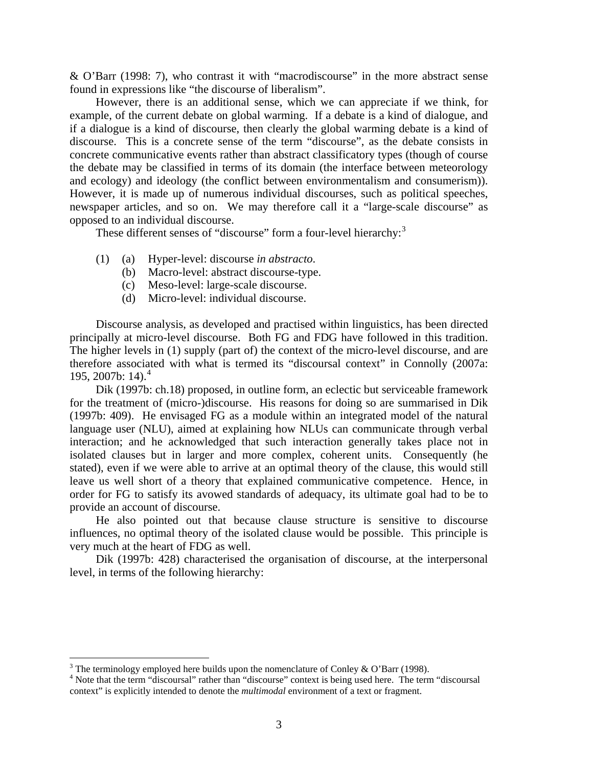& O'Barr (1998: 7), who contrast it with "macrodiscourse" in the more abstract sense found in expressions like "the discourse of liberalism".

 However, there is an additional sense, which we can appreciate if we think, for example, of the current debate on global warming. If a debate is a kind of dialogue, and if a dialogue is a kind of discourse, then clearly the global warming debate is a kind of discourse. This is a concrete sense of the term "discourse", as the debate consists in concrete communicative events rather than abstract classificatory types (though of course the debate may be classified in terms of its domain (the interface between meteorology and ecology) and ideology (the conflict between environmentalism and consumerism)). However, it is made up of numerous individual discourses, such as political speeches, newspaper articles, and so on. We may therefore call it a "large-scale discourse" as opposed to an individual discourse.

These different senses of "discourse" form a four-level hierarchy:<sup>[3](#page-2-0)</sup>

- (1) (a) Hyper-level: discourse *in abstracto*.
	- (b) Macro-level: abstract discourse-type.
	- (c) Meso-level: large-scale discourse.
	- (d) Micro-level: individual discourse.

 Discourse analysis, as developed and practised within linguistics, has been directed principally at micro-level discourse. Both FG and FDG have followed in this tradition. The higher levels in (1) supply (part of) the context of the micro-level discourse, and are therefore associated with what is termed its "discoursal context" in Connolly (2007a: 195, 2007b: 1[4](#page-2-1)). $4$ 

 Dik (1997b: ch.18) proposed, in outline form, an eclectic but serviceable framework for the treatment of (micro-)discourse. His reasons for doing so are summarised in Dik (1997b: 409). He envisaged FG as a module within an integrated model of the natural language user (NLU), aimed at explaining how NLUs can communicate through verbal interaction; and he acknowledged that such interaction generally takes place not in isolated clauses but in larger and more complex, coherent units. Consequently (he stated), even if we were able to arrive at an optimal theory of the clause, this would still leave us well short of a theory that explained communicative competence. Hence, in order for FG to satisfy its avowed standards of adequacy, its ultimate goal had to be to provide an account of discourse.

 He also pointed out that because clause structure is sensitive to discourse influences, no optimal theory of the isolated clause would be possible. This principle is very much at the heart of FDG as well.

 Dik (1997b: 428) characterised the organisation of discourse, at the interpersonal level, in terms of the following hierarchy:

<sup>&</sup>lt;sup>3</sup> The terminology employed here builds upon the nomenclature of Conley & O'Barr (1998).

<span id="page-2-1"></span><span id="page-2-0"></span><sup>&</sup>lt;sup>4</sup> Note that the term "discoursal" rather than "discourse" context is being used here. The term "discoursal" context" is explicitly intended to denote the *multimodal* environment of a text or fragment.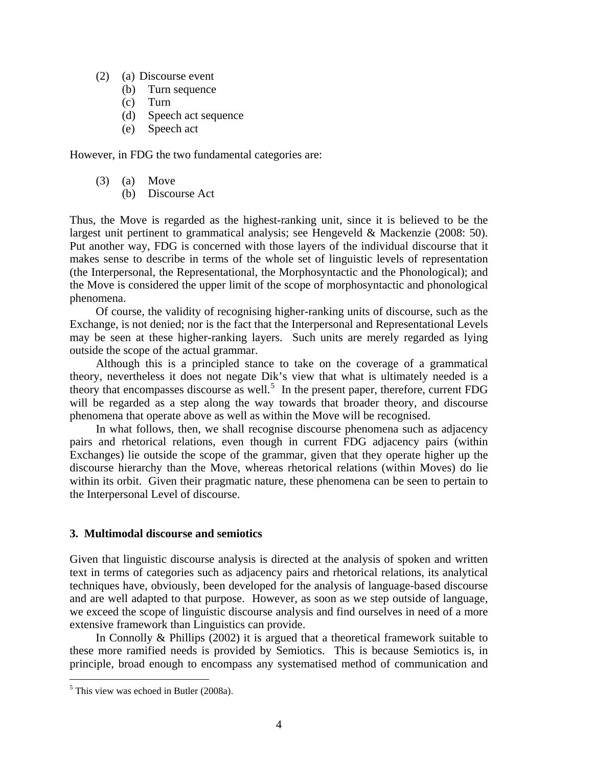- (2) (a) Discourse event
	- (b) Turn sequence
	- (c) Turn
	- (d) Speech act sequence
	- (e) Speech act

However, in FDG the two fundamental categories are:

- (3) (a) Move
	- (b) Discourse Act

Thus, the Move is regarded as the highest-ranking unit, since it is believed to be the largest unit pertinent to grammatical analysis; see Hengeveld & Mackenzie (2008: 50). Put another way, FDG is concerned with those layers of the individual discourse that it makes sense to describe in terms of the whole set of linguistic levels of representation (the Interpersonal, the Representational, the Morphosyntactic and the Phonological); and the Move is considered the upper limit of the scope of morphosyntactic and phonological phenomena.

 Of course, the validity of recognising higher-ranking units of discourse, such as the Exchange, is not denied; nor is the fact that the Interpersonal and Representational Levels may be seen at these higher-ranking layers. Such units are merely regarded as lying outside the scope of the actual grammar.

 Although this is a principled stance to take on the coverage of a grammatical theory, nevertheless it does not negate Dik's view that what is ultimately needed is a theory that encompasses discourse as well.<sup>[5](#page-3-0)</sup> In the present paper, therefore, current FDG will be regarded as a step along the way towards that broader theory, and discourse phenomena that operate above as well as within the Move will be recognised.

 In what follows, then, we shall recognise discourse phenomena such as adjacency pairs and rhetorical relations, even though in current FDG adjacency pairs (within Exchanges) lie outside the scope of the grammar, given that they operate higher up the discourse hierarchy than the Move, whereas rhetorical relations (within Moves) do lie within its orbit. Given their pragmatic nature, these phenomena can be seen to pertain to the Interpersonal Level of discourse.

#### **3. Multimodal discourse and semiotics**

Given that linguistic discourse analysis is directed at the analysis of spoken and written text in terms of categories such as adjacency pairs and rhetorical relations, its analytical techniques have, obviously, been developed for the analysis of language-based discourse and are well adapted to that purpose. However, as soon as we step outside of language, we exceed the scope of linguistic discourse analysis and find ourselves in need of a more extensive framework than Linguistics can provide.

 In Connolly & Phillips (2002) it is argued that a theoretical framework suitable to these more ramified needs is provided by Semiotics. This is because Semiotics is, in principle, broad enough to encompass any systematised method of communication and

<span id="page-3-0"></span><sup>&</sup>lt;sup>5</sup> This view was echoed in Butler (2008a).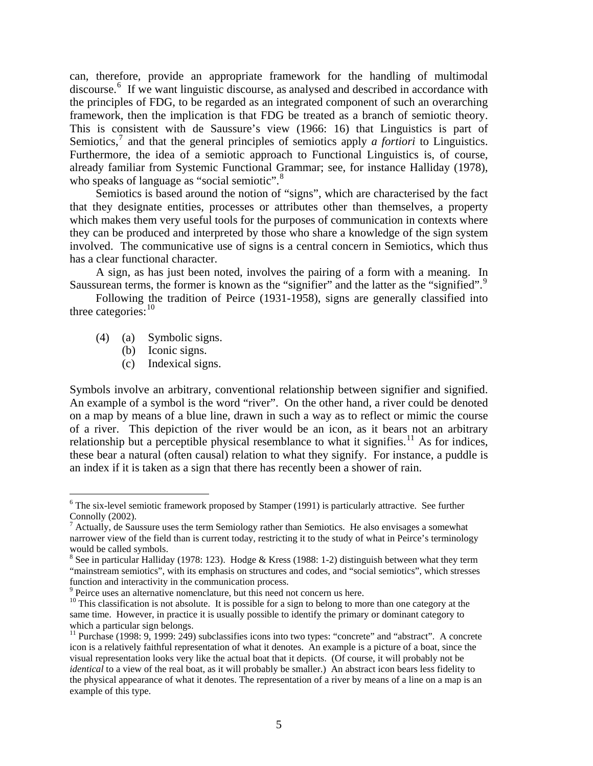can, therefore, provide an appropriate framework for the handling of multimodal discourse.<sup>[6](#page-4-0)</sup> If we want linguistic discourse, as analysed and described in accordance with the principles of FDG, to be regarded as an integrated component of such an overarching framework, then the implication is that FDG be treated as a branch of semiotic theory. This is consistent with de Saussure's view (1966: 16) that Linguistics is part of Semiotics,<sup>[7](#page-4-1)</sup> and that the general principles of semiotics apply *a fortiori* to Linguistics. Furthermore, the idea of a semiotic approach to Functional Linguistics is, of course, already familiar from Systemic Functional Grammar; see, for instance Halliday (1978), who speaks of language as "social semiotic".<sup>[8](#page-4-2)</sup>

 Semiotics is based around the notion of "signs", which are characterised by the fact that they designate entities, processes or attributes other than themselves, a property which makes them very useful tools for the purposes of communication in contexts where they can be produced and interpreted by those who share a knowledge of the sign system involved. The communicative use of signs is a central concern in Semiotics, which thus has a clear functional character.

 A sign, as has just been noted, involves the pairing of a form with a meaning. In Saussurean terms, the former is known as the "signifier" and the latter as the "signified".<sup>[9](#page-4-3)</sup>

 Following the tradition of Peirce (1931-1958), signs are generally classified into three categories: $10$ 

(4) (a) Symbolic signs.

 $\overline{a}$ 

- (b) Iconic signs.
- (c) Indexical signs.

Symbols involve an arbitrary, conventional relationship between signifier and signified. An example of a symbol is the word "river". On the other hand, a river could be denoted on a map by means of a blue line, drawn in such a way as to reflect or mimic the course of a river. This depiction of the river would be an icon, as it bears not an arbitrary relationship but a perceptible physical resemblance to what it signifies.<sup>[11](#page-4-5)</sup> As for indices, these bear a natural (often causal) relation to what they signify. For instance, a puddle is an index if it is taken as a sign that there has recently been a shower of rain.

<span id="page-4-0"></span> $6$  The six-level semiotic framework proposed by Stamper (1991) is particularly attractive. See further

<span id="page-4-1"></span>Connolly (2002).<br><sup>7</sup> Actually, de Saussure uses the term Semiology rather than Semiotics. He also envisages a somewhat narrower view of the field than is current today, restricting it to the study of what in Peirce's terminology would be called symbols.

<span id="page-4-2"></span><sup>&</sup>lt;sup>8</sup> See in particular Halliday (1978: 123). Hodge & Kress (1988: 1-2) distinguish between what they term "mainstream semiotics", with its emphasis on structures and codes, and "social semiotics", which stresses function and interactivity in the communication process.

<sup>&</sup>lt;sup>9</sup> Peirce uses an alternative nomenclature, but this need not concern us here.

<span id="page-4-4"></span><span id="page-4-3"></span> $P<sup>10</sup>$  This classification is not absolute. It is possible for a sign to belong to more than one category at the same time. However, in practice it is usually possible to identify the primary or dominant category to which a particular sign belongs.

<span id="page-4-5"></span><sup>&</sup>lt;sup>11</sup> Purchase (1998: 9, 1999: 249) subclassifies icons into two types: "concrete" and "abstract". A concrete icon is a relatively faithful representation of what it denotes. An example is a picture of a boat, since the visual representation looks very like the actual boat that it depicts. (Of course, it will probably not be *identical* to a view of the real boat, as it will probably be smaller.) An abstract icon bears less fidelity to the physical appearance of what it denotes. The representation of a river by means of a line on a map is an example of this type.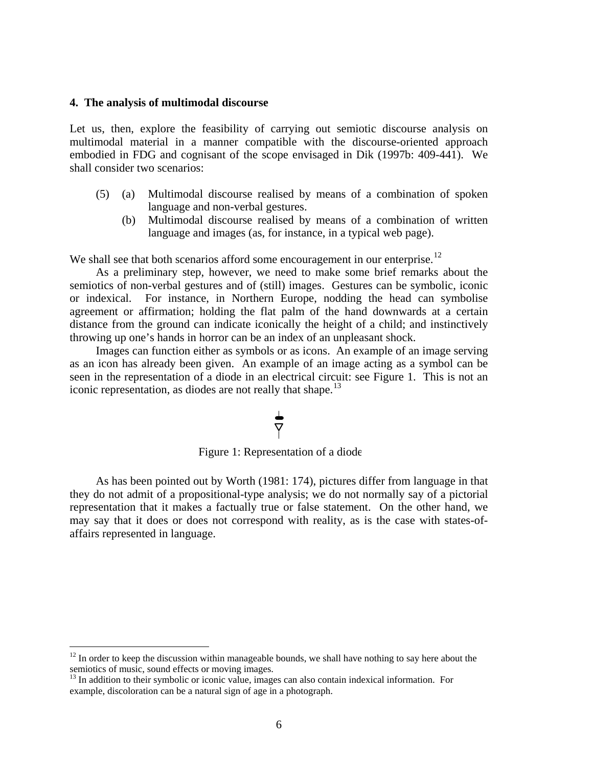#### **4. The analysis of multimodal discourse**

Let us, then, explore the feasibility of carrying out semiotic discourse analysis on multimodal material in a manner compatible with the discourse-oriented approach embodied in FDG and cognisant of the scope envisaged in Dik (1997b: 409-441). We shall consider two scenarios:

- (5) (a) Multimodal discourse realised by means of a combination of spoken language and non-verbal gestures.
	- (b) Multimodal discourse realised by means of a combination of written language and images (as, for instance, in a typical web page).

We shall see that both scenarios afford some encouragement in our enterprise.<sup>[12](#page-5-0)</sup>

 As a preliminary step, however, we need to make some brief remarks about the semiotics of non-verbal gestures and of (still) images. Gestures can be symbolic, iconic or indexical. For instance, in Northern Europe, nodding the head can symbolise agreement or affirmation; holding the flat palm of the hand downwards at a certain distance from the ground can indicate iconically the height of a child; and instinctively throwing up one's hands in horror can be an index of an unpleasant shock.

 Images can function either as symbols or as icons. An example of an image serving as an icon has already been given. An example of an image acting as a symbol can be seen in the representation of a diode in an electrical circuit: see Figure 1. This is not an iconic representation, as diodes are not really that shape.<sup>[13](#page-5-1)</sup>

# $\frac{1}{\sqrt{2}}$

#### Figure 1: Representation of a diode

 As has been pointed out by Worth (1981: 174), pictures differ from language in that they do not admit of a propositional-type analysis; we do not normally say of a pictorial representation that it makes a factually true or false statement. On the other hand, we may say that it does or does not correspond with reality, as is the case with states-ofaffairs represented in language.

<span id="page-5-0"></span> $12$  In order to keep the discussion within manageable bounds, we shall have nothing to say here about the semiotics of music, sound effects or moving images.

<span id="page-5-1"></span><sup>&</sup>lt;sup>13</sup> In addition to their symbolic or iconic value, images can also contain indexical information. For example, discoloration can be a natural sign of age in a photograph.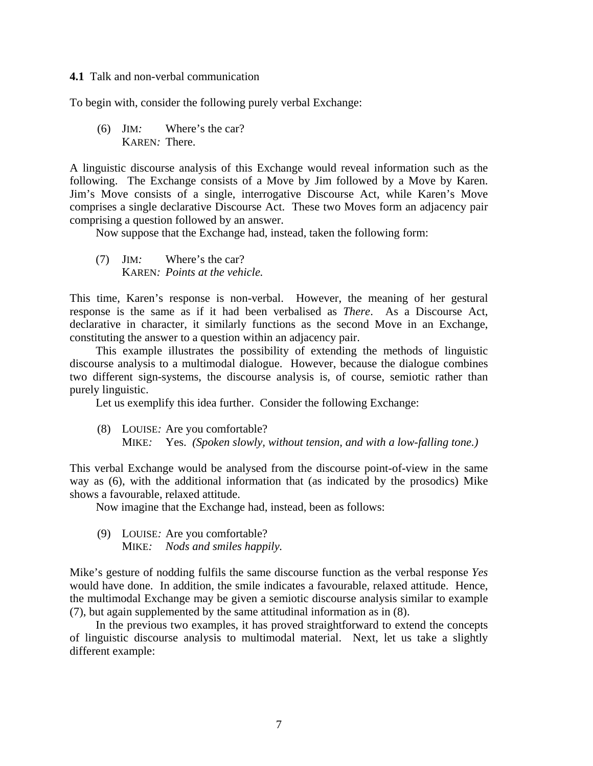#### **4.1** Talk and non-verbal communication

To begin with, consider the following purely verbal Exchange:

 (6) JIM*:* Where's the car? KAREN*:* There.

A linguistic discourse analysis of this Exchange would reveal information such as the following. The Exchange consists of a Move by Jim followed by a Move by Karen. Jim's Move consists of a single, interrogative Discourse Act, while Karen's Move comprises a single declarative Discourse Act. These two Moves form an adjacency pair comprising a question followed by an answer.

Now suppose that the Exchange had, instead, taken the following form:

 (7) JIM*:* Where's the car? KAREN*: Points at the vehicle.* 

This time, Karen's response is non-verbal. However, the meaning of her gestural response is the same as if it had been verbalised as *There*. As a Discourse Act, declarative in character, it similarly functions as the second Move in an Exchange, constituting the answer to a question within an adjacency pair.

 This example illustrates the possibility of extending the methods of linguistic discourse analysis to a multimodal dialogue. However, because the dialogue combines two different sign-systems, the discourse analysis is, of course, semiotic rather than purely linguistic.

Let us exemplify this idea further. Consider the following Exchange:

 (8) LOUISE*:* Are you comfortable? MIKE*:* Yes. *(Spoken slowly, without tension, and with a low-falling tone.)* 

This verbal Exchange would be analysed from the discourse point-of-view in the same way as (6), with the additional information that (as indicated by the prosodics) Mike shows a favourable, relaxed attitude.

Now imagine that the Exchange had, instead, been as follows:

 (9) LOUISE*:* Are you comfortable? MIKE*: Nods and smiles happily.*

Mike's gesture of nodding fulfils the same discourse function as the verbal response *Yes* would have done. In addition, the smile indicates a favourable, relaxed attitude. Hence, the multimodal Exchange may be given a semiotic discourse analysis similar to example (7), but again supplemented by the same attitudinal information as in (8).

 In the previous two examples, it has proved straightforward to extend the concepts of linguistic discourse analysis to multimodal material. Next, let us take a slightly different example: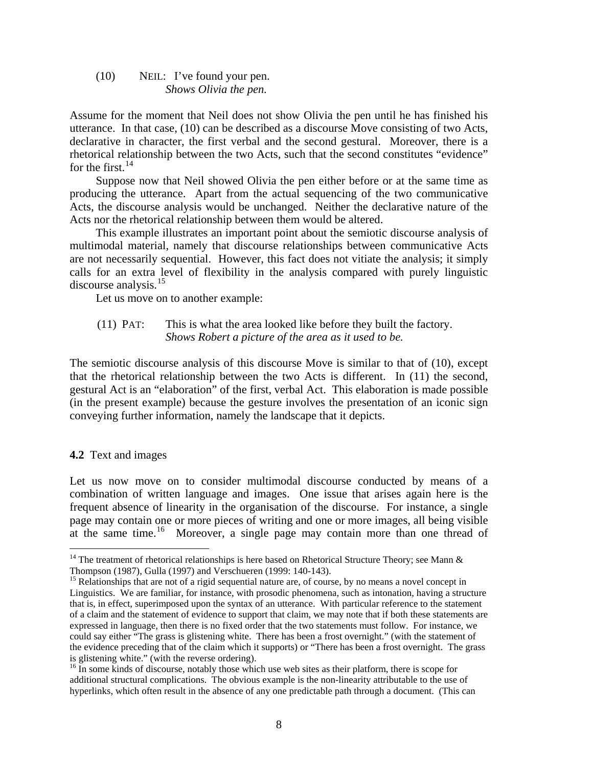# (10) NEIL: I've found your pen. *Shows Olivia the pen.*

Assume for the moment that Neil does not show Olivia the pen until he has finished his utterance. In that case, (10) can be described as a discourse Move consisting of two Acts, declarative in character, the first verbal and the second gestural. Moreover, there is a rhetorical relationship between the two Acts, such that the second constitutes "evidence" for the first.  $14$ 

 Suppose now that Neil showed Olivia the pen either before or at the same time as producing the utterance. Apart from the actual sequencing of the two communicative Acts, the discourse analysis would be unchanged. Neither the declarative nature of the Acts nor the rhetorical relationship between them would be altered.

 This example illustrates an important point about the semiotic discourse analysis of multimodal material, namely that discourse relationships between communicative Acts are not necessarily sequential. However, this fact does not vitiate the analysis; it simply calls for an extra level of flexibility in the analysis compared with purely linguistic discourse analysis.<sup>[15](#page-7-1)</sup>

Let us move on to another example:

 (11) PAT: This is what the area looked like before they built the factory. *Shows Robert a picture of the area as it used to be.* 

The semiotic discourse analysis of this discourse Move is similar to that of (10), except that the rhetorical relationship between the two Acts is different. In (11) the second, gestural Act is an "elaboration" of the first, verbal Act. This elaboration is made possible (in the present example) because the gesture involves the presentation of an iconic sign conveying further information, namely the landscape that it depicts.

# **4.2** Text and images

 $\overline{a}$ 

Let us now move on to consider multimodal discourse conducted by means of a combination of written language and images. One issue that arises again here is the frequent absence of linearity in the organisation of the discourse. For instance, a single page may contain one or more pieces of writing and one or more images, all being visible at the same time.<sup>[16](#page-7-2)</sup> Moreover, a single page may contain more than one thread of

<span id="page-7-0"></span><sup>&</sup>lt;sup>14</sup> The treatment of rhetorical relationships is here based on Rhetorical Structure Theory; see Mann  $\&$ Thompson (1987), Gulla (1997) and Verschueren (1999: 140-143). 15 Relationships that are not of a rigid sequential nature are, of course, by no means a novel concept in

<span id="page-7-1"></span>Linguistics. We are familiar, for instance, with prosodic phenomena, such as intonation, having a structure that is, in effect, superimposed upon the syntax of an utterance. With particular reference to the statement of a claim and the statement of evidence to support that claim, we may note that if both these statements are expressed in language, then there is no fixed order that the two statements must follow. For instance, we could say either "The grass is glistening white. There has been a frost overnight." (with the statement of the evidence preceding that of the claim which it supports) or "There has been a frost overnight. The grass is glistening white." (with the reverse ordering).

<span id="page-7-2"></span><sup>&</sup>lt;sup>16</sup> In some kinds of discourse, notably those which use web sites as their platform, there is scope for additional structural complications. The obvious example is the non-linearity attributable to the use of hyperlinks, which often result in the absence of any one predictable path through a document. (This can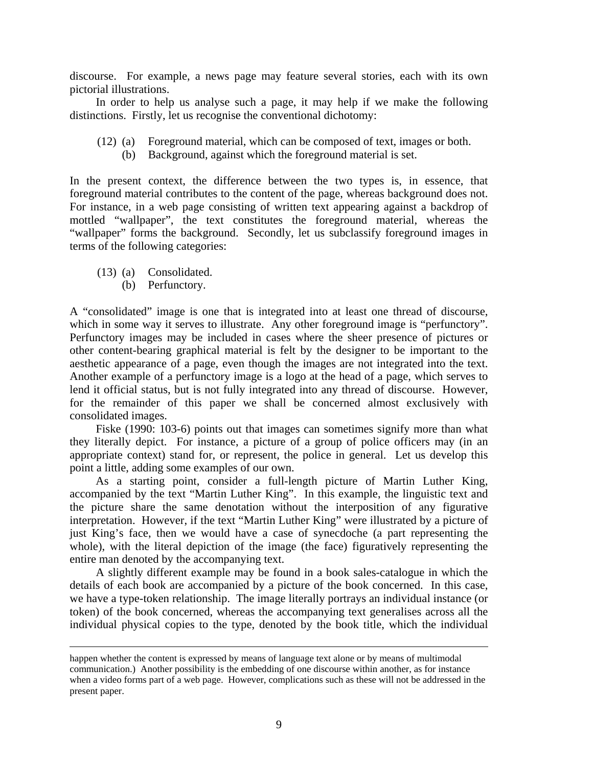discourse. For example, a news page may feature several stories, each with its own pictorial illustrations.

 In order to help us analyse such a page, it may help if we make the following distinctions. Firstly, let us recognise the conventional dichotomy:

- (12) (a) Foreground material, which can be composed of text, images or both.
	- (b) Background, against which the foreground material is set.

In the present context, the difference between the two types is, in essence, that foreground material contributes to the content of the page, whereas background does not. For instance, in a web page consisting of written text appearing against a backdrop of mottled "wallpaper", the text constitutes the foreground material, whereas the "wallpaper" forms the background. Secondly, let us subclassify foreground images in terms of the following categories:

- (13) (a) Consolidated.
	- (b) Perfunctory.

A "consolidated" image is one that is integrated into at least one thread of discourse, which in some way it serves to illustrate. Any other foreground image is "perfunctory". Perfunctory images may be included in cases where the sheer presence of pictures or other content-bearing graphical material is felt by the designer to be important to the aesthetic appearance of a page, even though the images are not integrated into the text. Another example of a perfunctory image is a logo at the head of a page, which serves to lend it official status, but is not fully integrated into any thread of discourse. However, for the remainder of this paper we shall be concerned almost exclusively with consolidated images.

 Fiske (1990: 103-6) points out that images can sometimes signify more than what they literally depict. For instance, a picture of a group of police officers may (in an appropriate context) stand for, or represent, the police in general. Let us develop this point a little, adding some examples of our own.

 As a starting point, consider a full-length picture of Martin Luther King, accompanied by the text "Martin Luther King". In this example, the linguistic text and the picture share the same denotation without the interposition of any figurative interpretation. However, if the text "Martin Luther King" were illustrated by a picture of just King's face, then we would have a case of synecdoche (a part representing the whole), with the literal depiction of the image (the face) figuratively representing the entire man denoted by the accompanying text.

 A slightly different example may be found in a book sales-catalogue in which the details of each book are accompanied by a picture of the book concerned. In this case, we have a type-token relationship. The image literally portrays an individual instance (or token) of the book concerned, whereas the accompanying text generalises across all the individual physical copies to the type, denoted by the book title, which the individual

happen whether the content is expressed by means of language text alone or by means of multimodal communication.) Another possibility is the embedding of one discourse within another, as for instance when a video forms part of a web page. However, complications such as these will not be addressed in the present paper.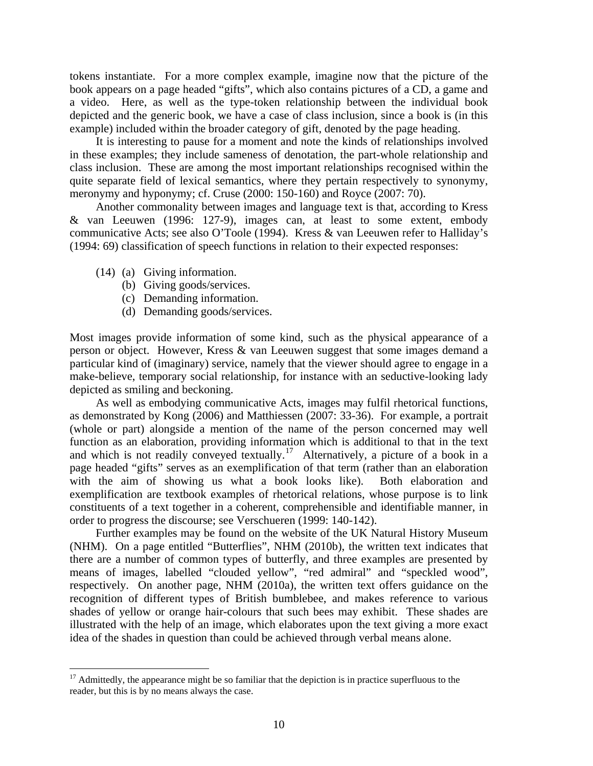tokens instantiate. For a more complex example, imagine now that the picture of the book appears on a page headed "gifts", which also contains pictures of a CD, a game and a video. Here, as well as the type-token relationship between the individual book depicted and the generic book, we have a case of class inclusion, since a book is (in this example) included within the broader category of gift, denoted by the page heading.

 It is interesting to pause for a moment and note the kinds of relationships involved in these examples; they include sameness of denotation, the part-whole relationship and class inclusion. These are among the most important relationships recognised within the quite separate field of lexical semantics, where they pertain respectively to synonymy, meronymy and hyponymy; cf. Cruse (2000: 150-160) and Royce (2007: 70).

 Another commonality between images and language text is that, according to Kress & van Leeuwen (1996: 127-9), images can, at least to some extent, embody communicative Acts; see also O'Toole (1994). Kress & van Leeuwen refer to Halliday's (1994: 69) classification of speech functions in relation to their expected responses:

(14) (a) Giving information.

 $\overline{a}$ 

- (b) Giving goods/services.
- (c) Demanding information.
- (d) Demanding goods/services.

Most images provide information of some kind, such as the physical appearance of a person or object. However, Kress & van Leeuwen suggest that some images demand a particular kind of (imaginary) service, namely that the viewer should agree to engage in a make-believe, temporary social relationship, for instance with an seductive-looking lady depicted as smiling and beckoning.

 As well as embodying communicative Acts, images may fulfil rhetorical functions, as demonstrated by Kong (2006) and Matthiessen (2007: 33-36). For example, a portrait (whole or part) alongside a mention of the name of the person concerned may well function as an elaboration, providing information which is additional to that in the text and which is not readily conveyed textually.<sup>[17](#page-9-0)</sup> Alternatively, a picture of a book in a page headed "gifts" serves as an exemplification of that term (rather than an elaboration with the aim of showing us what a book looks like). Both elaboration and exemplification are textbook examples of rhetorical relations, whose purpose is to link constituents of a text together in a coherent, comprehensible and identifiable manner, in order to progress the discourse; see Verschueren (1999: 140-142).

 Further examples may be found on the website of the UK Natural History Museum (NHM). On a page entitled "Butterflies", NHM (2010b), the written text indicates that there are a number of common types of butterfly, and three examples are presented by means of images, labelled "clouded yellow", "red admiral" and "speckled wood", respectively. On another page, NHM (2010a), the written text offers guidance on the recognition of different types of British bumblebee, and makes reference to various shades of yellow or orange hair-colours that such bees may exhibit. These shades are illustrated with the help of an image, which elaborates upon the text giving a more exact idea of the shades in question than could be achieved through verbal means alone.

<span id="page-9-0"></span> $17$  Admittedly, the appearance might be so familiar that the depiction is in practice superfluous to the reader, but this is by no means always the case.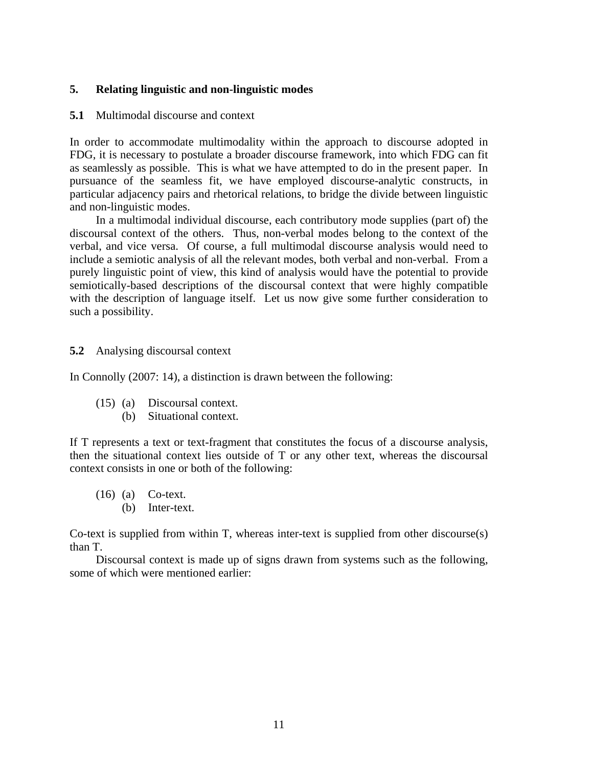# **5. Relating linguistic and non-linguistic modes**

**5.1** Multimodal discourse and context

In order to accommodate multimodality within the approach to discourse adopted in FDG, it is necessary to postulate a broader discourse framework, into which FDG can fit as seamlessly as possible. This is what we have attempted to do in the present paper. In pursuance of the seamless fit, we have employed discourse-analytic constructs, in particular adjacency pairs and rhetorical relations, to bridge the divide between linguistic and non-linguistic modes.

 In a multimodal individual discourse, each contributory mode supplies (part of) the discoursal context of the others. Thus, non-verbal modes belong to the context of the verbal, and vice versa. Of course, a full multimodal discourse analysis would need to include a semiotic analysis of all the relevant modes, both verbal and non-verbal. From a purely linguistic point of view, this kind of analysis would have the potential to provide semiotically-based descriptions of the discoursal context that were highly compatible with the description of language itself. Let us now give some further consideration to such a possibility.

## **5.2** Analysing discoursal context

In Connolly (2007: 14), a distinction is drawn between the following:

- (15) (a) Discoursal context.
	- (b) Situational context.

If T represents a text or text-fragment that constitutes the focus of a discourse analysis, then the situational context lies outside of T or any other text, whereas the discoursal context consists in one or both of the following:

 (16) (a) Co-text. (b) Inter-text.

Co-text is supplied from within T, whereas inter-text is supplied from other discourse(s) than T.

 Discoursal context is made up of signs drawn from systems such as the following, some of which were mentioned earlier: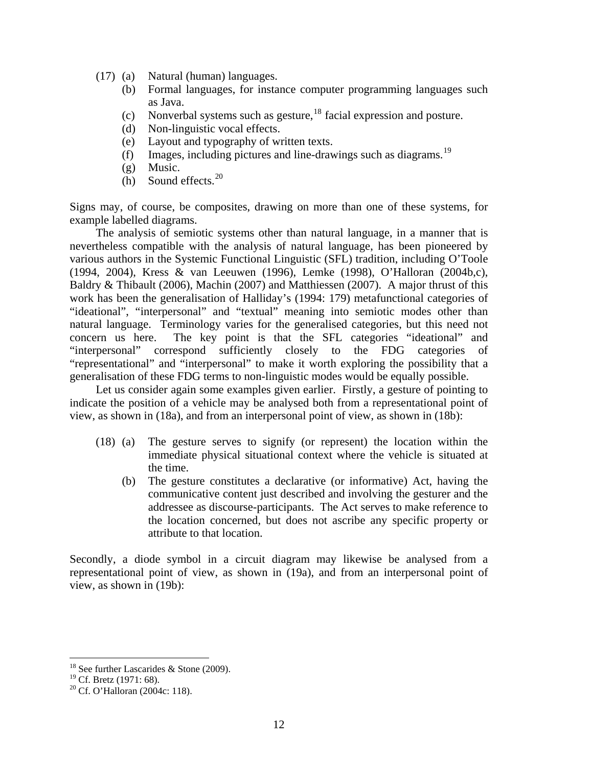- (17) (a) Natural (human) languages.
	- (b) Formal languages, for instance computer programming languages such as Java.
	- (c) Nonverbal systems such as gesture,  $^{18}$  $^{18}$  $^{18}$  facial expression and posture.
	- (d) Non-linguistic vocal effects.
	- (e) Layout and typography of written texts.
	- (f) Images, including pictures and line-drawings such as diagrams.<sup>[19](#page-11-1)</sup>
	- (g) Music.
	- (h) Sound effects. $20$

Signs may, of course, be composites, drawing on more than one of these systems, for example labelled diagrams.

 The analysis of semiotic systems other than natural language, in a manner that is nevertheless compatible with the analysis of natural language, has been pioneered by various authors in the Systemic Functional Linguistic (SFL) tradition, including O'Toole (1994, 2004), Kress & van Leeuwen (1996), Lemke (1998), O'Halloran (2004b,c), Baldry & Thibault (2006), Machin (2007) and Matthiessen (2007). A major thrust of this work has been the generalisation of Halliday's (1994: 179) metafunctional categories of "ideational", "interpersonal" and "textual" meaning into semiotic modes other than natural language. Terminology varies for the generalised categories, but this need not concern us here. The key point is that the SFL categories "ideational" and "interpersonal" correspond sufficiently closely to the FDG categories of "representational" and "interpersonal" to make it worth exploring the possibility that a generalisation of these FDG terms to non-linguistic modes would be equally possible.

 Let us consider again some examples given earlier. Firstly, a gesture of pointing to indicate the position of a vehicle may be analysed both from a representational point of view, as shown in (18a), and from an interpersonal point of view, as shown in (18b):

- (18) (a) The gesture serves to signify (or represent) the location within the immediate physical situational context where the vehicle is situated at the time.
	- (b) The gesture constitutes a declarative (or informative) Act, having the communicative content just described and involving the gesturer and the addressee as discourse-participants. The Act serves to make reference to the location concerned, but does not ascribe any specific property or attribute to that location.

Secondly, a diode symbol in a circuit diagram may likewise be analysed from a representational point of view, as shown in (19a), and from an interpersonal point of view, as shown in (19b):

<u>.</u>

<sup>&</sup>lt;sup>18</sup> See further Lascarides & Stone (2009).

<span id="page-11-1"></span><span id="page-11-0"></span> $19$  Cf. Bretz (1971: 68).

<span id="page-11-2"></span> $20$  Cf. O'Halloran (2004c: 118).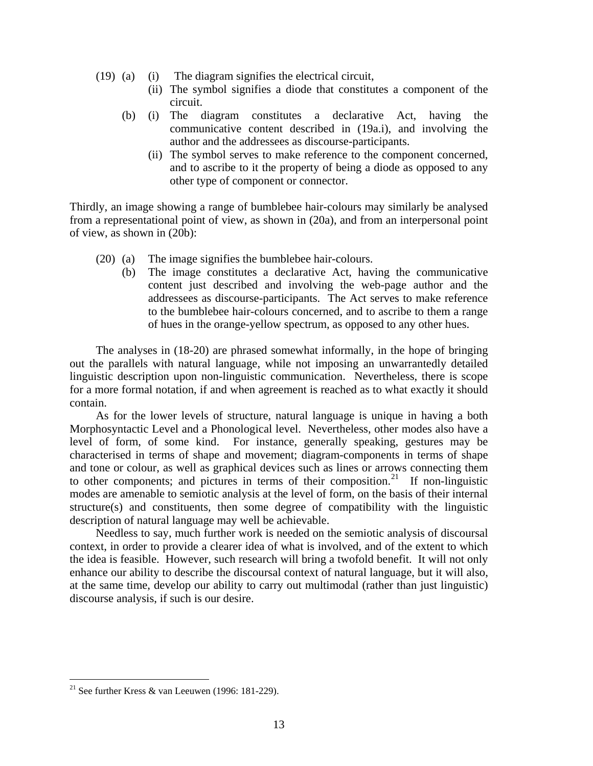- (19) (a) (i) The diagram signifies the electrical circuit,
	- (ii) The symbol signifies a diode that constitutes a component of the circuit.
	- (b) (i) The diagram constitutes a declarative Act, having the communicative content described in (19a.i), and involving the author and the addressees as discourse-participants.
		- (ii) The symbol serves to make reference to the component concerned, and to ascribe to it the property of being a diode as opposed to any other type of component or connector.

Thirdly, an image showing a range of bumblebee hair-colours may similarly be analysed from a representational point of view, as shown in (20a), and from an interpersonal point of view, as shown in (20b):

- (20) (a) The image signifies the bumblebee hair-colours.
	- (b) The image constitutes a declarative Act, having the communicative content just described and involving the web-page author and the addressees as discourse-participants. The Act serves to make reference to the bumblebee hair-colours concerned, and to ascribe to them a range of hues in the orange-yellow spectrum, as opposed to any other hues.

 The analyses in (18-20) are phrased somewhat informally, in the hope of bringing out the parallels with natural language, while not imposing an unwarrantedly detailed linguistic description upon non-linguistic communication. Nevertheless, there is scope for a more formal notation, if and when agreement is reached as to what exactly it should contain.

 As for the lower levels of structure, natural language is unique in having a both Morphosyntactic Level and a Phonological level. Nevertheless, other modes also have a level of form, of some kind. For instance, generally speaking, gestures may be characterised in terms of shape and movement; diagram-components in terms of shape and tone or colour, as well as graphical devices such as lines or arrows connecting them to other components; and pictures in terms of their composition.<sup>[21](#page-12-0)</sup> If non-linguistic modes are amenable to semiotic analysis at the level of form, on the basis of their internal structure(s) and constituents, then some degree of compatibility with the linguistic description of natural language may well be achievable.

 Needless to say, much further work is needed on the semiotic analysis of discoursal context, in order to provide a clearer idea of what is involved, and of the extent to which the idea is feasible. However, such research will bring a twofold benefit. It will not only enhance our ability to describe the discoursal context of natural language, but it will also, at the same time, develop our ability to carry out multimodal (rather than just linguistic) discourse analysis, if such is our desire.

<span id="page-12-0"></span><sup>&</sup>lt;sup>21</sup> See further Kress & van Leeuwen (1996: 181-229).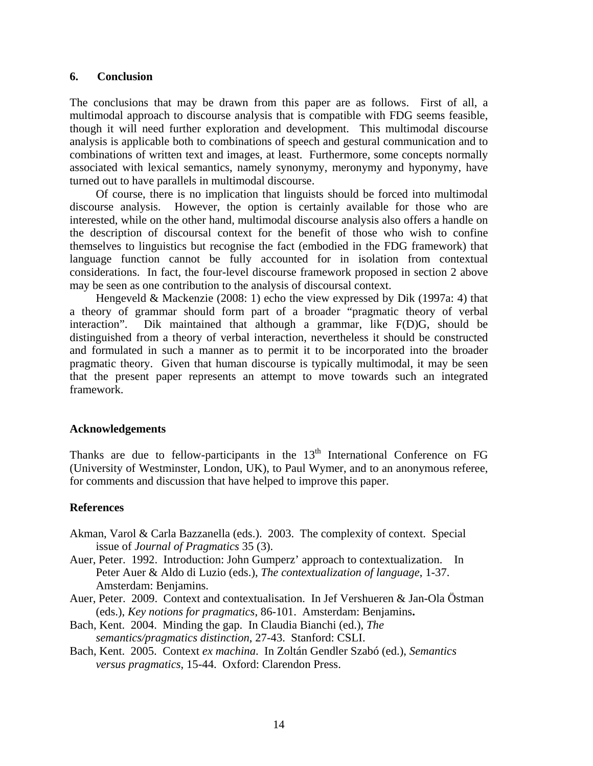#### **6. Conclusion**

The conclusions that may be drawn from this paper are as follows. First of all, a multimodal approach to discourse analysis that is compatible with FDG seems feasible, though it will need further exploration and development. This multimodal discourse analysis is applicable both to combinations of speech and gestural communication and to combinations of written text and images, at least. Furthermore, some concepts normally associated with lexical semantics, namely synonymy, meronymy and hyponymy, have turned out to have parallels in multimodal discourse.

 Of course, there is no implication that linguists should be forced into multimodal discourse analysis. However, the option is certainly available for those who are interested, while on the other hand, multimodal discourse analysis also offers a handle on the description of discoursal context for the benefit of those who wish to confine themselves to linguistics but recognise the fact (embodied in the FDG framework) that language function cannot be fully accounted for in isolation from contextual considerations. In fact, the four-level discourse framework proposed in section 2 above may be seen as one contribution to the analysis of discoursal context.

 Hengeveld & Mackenzie (2008: 1) echo the view expressed by Dik (1997a: 4) that a theory of grammar should form part of a broader "pragmatic theory of verbal interaction". Dik maintained that although a grammar, like F(D)G, should be distinguished from a theory of verbal interaction, nevertheless it should be constructed and formulated in such a manner as to permit it to be incorporated into the broader pragmatic theory. Given that human discourse is typically multimodal, it may be seen that the present paper represents an attempt to move towards such an integrated framework.

## **Acknowledgements**

Thanks are due to fellow-participants in the  $13<sup>th</sup>$  International Conference on FG (University of Westminster, London, UK), to Paul Wymer, and to an anonymous referee, for comments and discussion that have helped to improve this paper.

## **References**

- Akman, Varol & Carla Bazzanella (eds.). 2003. The complexity of context. Special issue of *Journal of Pragmatics* 35 (3).
- Auer, Peter. 1992. Introduction: John Gumperz' approach to contextualization. In Peter Auer & Aldo di Luzio (eds.), *The contextualization of language*, 1-37. Amsterdam: Benjamins.
- Auer, Peter. 2009. Context and contextualisation. In Jef Vershueren & Jan-Ola Östman (eds.), *Key notions for pragmatics*, 86-101. Amsterdam: Benjamins**.**
- Bach, Kent. 2004. Minding the gap. In Claudia Bianchi (ed.), *The semantics/pragmatics distinction*, 27-43. Stanford: CSLI.
- Bach, Kent. 2005. Context *ex machina*. In Zoltán Gendler Szabó (ed.), *Semantics versus pragmatics*, 15-44. Oxford: Clarendon Press.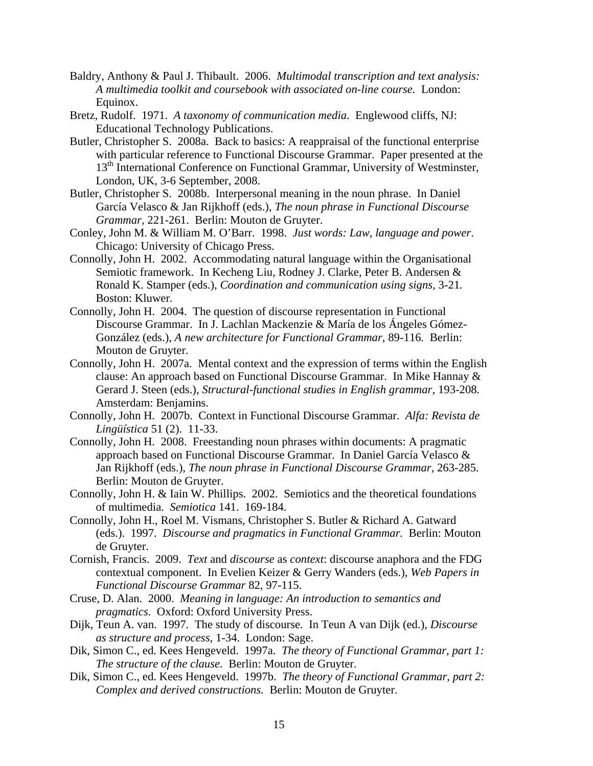- Baldry, Anthony & Paul J. Thibault. 2006. *Multimodal transcription and text analysis: A multimedia toolkit and coursebook with associated on-line course.* London: Equinox.
- Bretz, Rudolf. 1971. *A taxonomy of communication media*. Englewood cliffs, NJ: Educational Technology Publications.
- Butler, Christopher S. 2008a. Back to basics: A reappraisal of the functional enterprise with particular reference to Functional Discourse Grammar. Paper presented at the 13<sup>th</sup> International Conference on Functional Grammar, University of Westminster, London, UK, 3-6 September, 2008.
- Butler, Christopher S. 2008b. Interpersonal meaning in the noun phrase. In Daniel García Velasco & Jan Rijkhoff (eds.), *The noun phrase in Functional Discourse Grammar,* 221-261. Berlin: Mouton de Gruyter.
- Conley, John M. & William M. O'Barr. 1998. *Just words: Law, language and power*. Chicago: University of Chicago Press.
- Connolly, John H. 2002. Accommodating natural language within the Organisational Semiotic framework. In Kecheng Liu, Rodney J. Clarke, Peter B. Andersen & Ronald K. Stamper (eds.), *Coordination and communication using signs,* 3-21*.* Boston: Kluwer.
- Connolly, John H. 2004. The question of discourse representation in Functional Discourse Grammar. In J. Lachlan Mackenzie & María de los Ángeles Gómez-González (eds.), *A new architecture for Functional Grammar,* 89-116*.* Berlin: Mouton de Gruyter.
- Connolly, John H. 2007a. Mental context and the expression of terms within the English clause: An approach based on Functional Discourse Grammar. In Mike Hannay & Gerard J. Steen (eds.), *Structural-functional studies in English grammar,* 193-208*.* Amsterdam: Benjamins.
- Connolly, John H. 2007b. Context in Functional Discourse Grammar. *Alfa: Revista de Lingüística* 51 (2). 11-33.
- Connolly, John H. 2008. Freestanding noun phrases within documents: A pragmatic approach based on Functional Discourse Grammar. In Daniel García Velasco & Jan Rijkhoff (eds.), *The noun phrase in Functional Discourse Grammar,* 263-285. Berlin: Mouton de Gruyter.
- Connolly, John H. & Iain W. Phillips. 2002. Semiotics and the theoretical foundations of multimedia. *Semiotica* 141. 169-184.
- Connolly, John H., Roel M. Vismans, Christopher S. Butler & Richard A. Gatward (eds.). 1997. *Discourse and pragmatics in Functional Grammar.* Berlin: Mouton de Gruyter.
- Cornish, Francis. 2009. *Text* and *discourse* as *context*: discourse anaphora and the FDG contextual component. In Evelien Keizer & Gerry Wanders (eds.), *Web Papers in Functional Discourse Grammar* 82, 97-115.
- Cruse, D. Alan. 2000. *Meaning in language: An introduction to semantics and pragmatics*. Oxford: Oxford University Press.
- Dijk, Teun A. van. 1997. The study of discourse. In Teun A van Dijk (ed.), *Discourse as structure and process*, 1-34. London: Sage.
- Dik, Simon C., ed. Kees Hengeveld. 1997a. *The theory of Functional Grammar, part 1: The structure of the clause.* Berlin: Mouton de Gruyter.
- Dik, Simon C., ed. Kees Hengeveld. 1997b. *The theory of Functional Grammar, part 2: Complex and derived constructions.* Berlin: Mouton de Gruyter.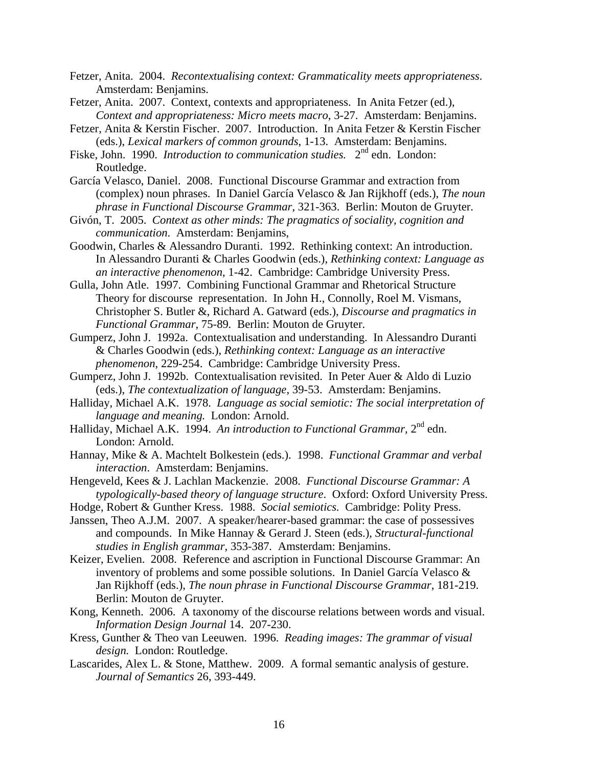- Fetzer, Anita. 2004. *Recontextualising context: Grammaticality meets appropriateness*. Amsterdam: Benjamins.
- Fetzer, Anita. 2007. Context, contexts and appropriateness. In Anita Fetzer (ed.), *Context and appropriateness: Micro meets macro*, 3-27. Amsterdam: Benjamins.
- Fetzer, Anita & Kerstin Fischer. 2007. Introduction. In Anita Fetzer & Kerstin Fischer (eds.), *Lexical markers of common grounds*, 1-13. Amsterdam: Benjamins.
- Fiske, John. 1990. *Introduction to communication studies*.  $2^{nd}$  edn. London: Routledge.
- García Velasco, Daniel. 2008. Functional Discourse Grammar and extraction from (complex) noun phrases. In Daniel García Velasco & Jan Rijkhoff (eds.), *The noun phrase in Functional Discourse Grammar,* 321-363. Berlin: Mouton de Gruyter.
- Givón, T. 2005. *Context as other minds: The pragmatics of sociality, cognition and communication*. Amsterdam: Benjamins,
- Goodwin, Charles & Alessandro Duranti. 1992. Rethinking context: An introduction. In Alessandro Duranti & Charles Goodwin (eds.), *Rethinking context: Language as an interactive phenomenon*, 1-42. Cambridge: Cambridge University Press.
- Gulla, John Atle. 1997. Combining Functional Grammar and Rhetorical Structure Theory for discourse representation. In John H., Connolly, Roel M. Vismans, Christopher S. Butler &, Richard A. Gatward (eds.), *Discourse and pragmatics in Functional Grammar,* 75-89*.* Berlin: Mouton de Gruyter.
- Gumperz, John J. 1992a. Contextualisation and understanding. In Alessandro Duranti & Charles Goodwin (eds.), *Rethinking context: Language as an interactive phenomenon*, 229-254. Cambridge: Cambridge University Press.
- Gumperz, John J. 1992b. Contextualisation revisited. In Peter Auer & Aldo di Luzio (eds.), *The contextualization of language*, 39-53. Amsterdam: Benjamins.
- Halliday, Michael A.K. 1978. *Language as social semiotic: The social interpretation of language and meaning.* London: Arnold.
- Halliday, Michael A.K. 1994. *An introduction to Functional Grammar,* 2nd edn. London: Arnold.
- Hannay, Mike & A. Machtelt Bolkestein (eds.). 1998. *Functional Grammar and verbal interaction*. Amsterdam: Benjamins.
- Hengeveld, Kees & J. Lachlan Mackenzie. 2008. *Functional Discourse Grammar: A typologically-based theory of language structure*. Oxford: Oxford University Press.
- Hodge, Robert & Gunther Kress. 1988. *Social semiotics.* Cambridge: Polity Press.
- Janssen, Theo A.J.M. 2007. A speaker/hearer-based grammar: the case of possessives and compounds. In Mike Hannay & Gerard J. Steen (eds.), *Structural-functional studies in English grammar,* 353-387*.* Amsterdam: Benjamins.
- Keizer, Evelien. 2008. Reference and ascription in Functional Discourse Grammar: An inventory of problems and some possible solutions. In Daniel García Velasco & Jan Rijkhoff (eds.), *The noun phrase in Functional Discourse Grammar,* 181-219. Berlin: Mouton de Gruyter.
- Kong, Kenneth. 2006. A taxonomy of the discourse relations between words and visual. *Information Design Journal* 14. 207-230.
- Kress, Gunther & Theo van Leeuwen. 1996. *Reading images: The grammar of visual design.* London: Routledge.
- Lascarides, Alex L. & Stone, Matthew. 2009. A formal semantic analysis of gesture. *Journal of Semantics* 26, 393-449.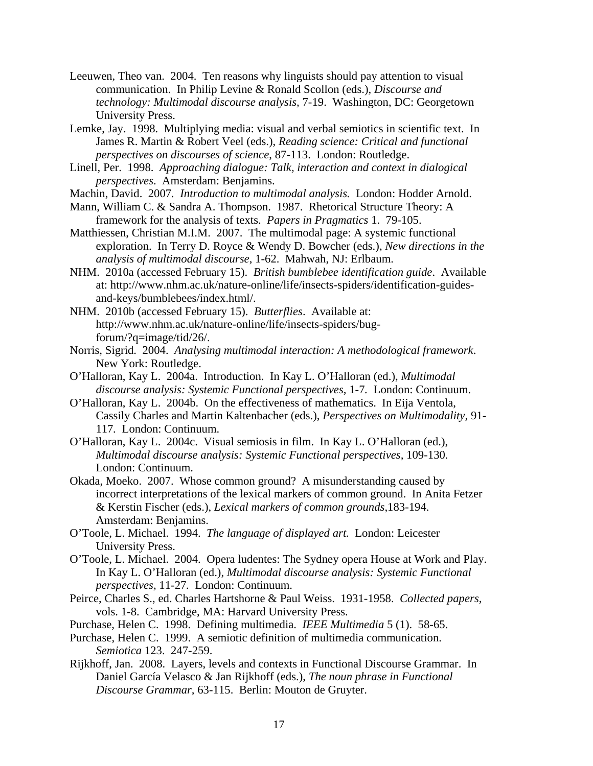- Leeuwen, Theo van. 2004. Ten reasons why linguists should pay attention to visual communication. In Philip Levine & Ronald Scollon (eds.), *Discourse and technology: Multimodal discourse analysis,* 7-19. Washington, DC: Georgetown University Press.
- Lemke, Jay. 1998. Multiplying media: visual and verbal semiotics in scientific text. In James R. Martin & Robert Veel (eds.), *Reading science: Critical and functional perspectives on discourses of science*, 87-113. London: Routledge.
- Linell, Per. 1998. *Approaching dialogue: Talk, interaction and context in dialogical perspectives*. Amsterdam: Benjamins.
- Machin, David. 2007*. Introduction to multimodal analysis.* London: Hodder Arnold.
- Mann, William C. & Sandra A. Thompson. 1987. Rhetorical Structure Theory: A framework for the analysis of texts. *Papers in Pragmatics* 1. 79-105.
- Matthiessen, Christian M.I.M. 2007. The multimodal page: A systemic functional exploration. In Terry D. Royce & Wendy D. Bowcher (eds.), *New directions in the analysis of multimodal discourse*, 1-62. Mahwah, NJ: Erlbaum.
- NHM. 2010a (accessed February 15). *British bumblebee identification guide*. Available at: http://www.nhm.ac.uk/nature-online/life/insects-spiders/identification-guidesand-keys/bumblebees/index.html/.
- NHM. 2010b (accessed February 15). *Butterflies*. Available at: http://www.nhm.ac.uk/nature-online/life/insects-spiders/bugforum/?q=image/tid/26/.
- Norris, Sigrid. 2004. *Analysing multimodal interaction: A methodological framework*. New York: Routledge.
- O'Halloran, Kay L. 2004a. Introduction. In Kay L. O'Halloran (ed.), *Multimodal discourse analysis: Systemic Functional perspectives,* 1-7*.* London: Continuum.
- O'Halloran, Kay L. 2004b. On the effectiveness of mathematics. In Eija Ventola, Cassily Charles and Martin Kaltenbacher (eds.), *Perspectives on Multimodality,* 91- 117*.* London: Continuum.
- O'Halloran, Kay L. 2004c. Visual semiosis in film. In Kay L. O'Halloran (ed.), *Multimodal discourse analysis: Systemic Functional perspectives,* 109-130*.* London: Continuum.
- Okada, Moeko. 2007. Whose common ground? A misunderstanding caused by incorrect interpretations of the lexical markers of common ground. In Anita Fetzer & Kerstin Fischer (eds.), *Lexical markers of common grounds*,183-194. Amsterdam: Benjamins.
- O'Toole, L. Michael. 1994. *The language of displayed art.* London: Leicester University Press.
- O'Toole, L. Michael. 2004. Opera ludentes: The Sydney opera House at Work and Play. In Kay L. O'Halloran (ed.), *Multimodal discourse analysis: Systemic Functional perspectives,* 11-27*.* London: Continuum.
- Peirce, Charles S., ed. Charles Hartshorne & Paul Weiss. 1931-1958. *Collected papers,* vols. 1-8. Cambridge, MA: Harvard University Press.
- Purchase, Helen C. 1998. Defining multimedia. *IEEE Multimedia* 5 (1). 58-65.
- Purchase, Helen C. 1999. A semiotic definition of multimedia communication. *Semiotica* 123. 247-259.
- Rijkhoff, Jan. 2008. Layers, levels and contexts in Functional Discourse Grammar. In Daniel García Velasco & Jan Rijkhoff (eds.), *The noun phrase in Functional Discourse Grammar,* 63-115. Berlin: Mouton de Gruyter.